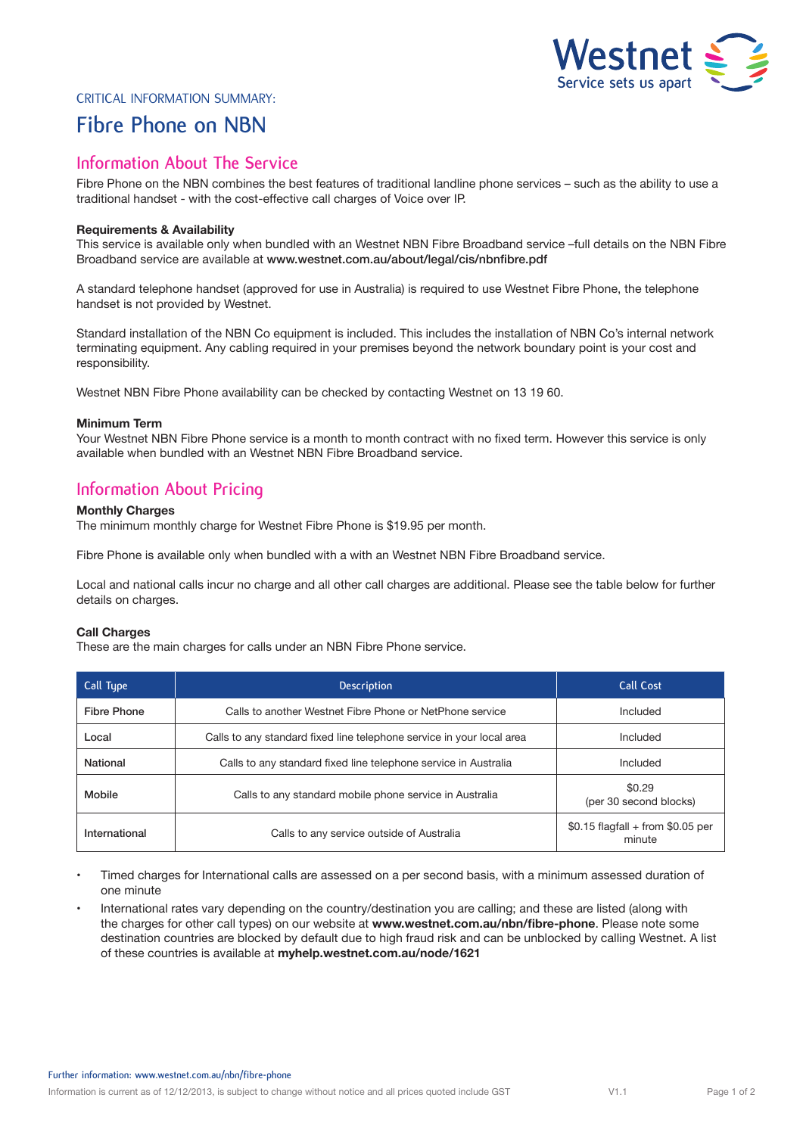

### Critical Information Summary:

# **Fibre Phone on NBN**

# **Information About The Service**

Fibre Phone on the NBN combines the best features of traditional landline phone services – such as the ability to use a traditional handset - with the cost-effective call charges of Voice over IP.

#### **Requirements & Availability**

This service is available only when bundled with an Westnet NBN Fibre Broadband service –full details on the NBN Fibre Broadband service are available at www.westnet.com.au/about/legal/cis/nbnfibre.pdf

A standard telephone handset (approved for use in Australia) is required to use Westnet Fibre Phone, the telephone handset is not provided by Westnet.

Standard installation of the NBN Co equipment is included. This includes the installation of NBN Co's internal network terminating equipment. Any cabling required in your premises beyond the network boundary point is your cost and responsibility.

Westnet NBN Fibre Phone availability can be checked by contacting Westnet on 13 19 60.

#### **Minimum Term**

Your Westnet NBN Fibre Phone service is a month to month contract with no fixed term. However this service is only available when bundled with an Westnet NBN Fibre Broadband service.

## **Information About Pricing**

### **Monthly Charges**

The minimum monthly charge for Westnet Fibre Phone is \$19.95 per month.

Fibre Phone is available only when bundled with a with an Westnet NBN Fibre Broadband service.

Local and national calls incur no charge and all other call charges are additional. Please see the table below for further details on charges.

#### **Call Charges**

These are the main charges for calls under an NBN Fibre Phone service.

| Call Type          | <b>Description</b>                                                    | <b>Call Cost</b>                             |
|--------------------|-----------------------------------------------------------------------|----------------------------------------------|
| <b>Fibre Phone</b> | Calls to another Westnet Fibre Phone or NetPhone service              | Included                                     |
| Local              | Calls to any standard fixed line telephone service in your local area | Included                                     |
| <b>National</b>    | Calls to any standard fixed line telephone service in Australia       | Included                                     |
| Mobile             | Calls to any standard mobile phone service in Australia               | \$0.29<br>(per 30 second blocks)             |
| International      | Calls to any service outside of Australia                             | $$0.15$ flagfall + from \$0.05 per<br>minute |

• Timed charges for International calls are assessed on a per second basis, with a minimum assessed duration of one minute

• International rates vary depending on the country/destination you are calling; and these are listed (along with the charges for other call types) on our website at **www.westnet.com.au/nbn/fibre-phone**. Please note some destination countries are blocked by default due to high fraud risk and can be unblocked by calling Westnet. A list of these countries is available at **myhelp.westnet.com.au/node/1621**